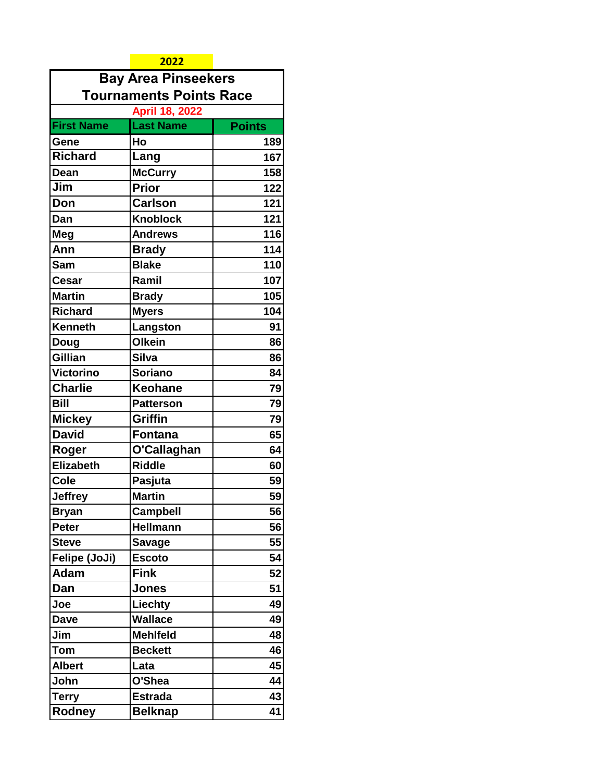|                                | 2022             |               |  |  |  |
|--------------------------------|------------------|---------------|--|--|--|
| <b>Bay Area Pinseekers</b>     |                  |               |  |  |  |
| <b>Tournaments Points Race</b> |                  |               |  |  |  |
| <b>April 18, 2022</b>          |                  |               |  |  |  |
| <b>First Name</b>              | <b>Last Name</b> | <b>Points</b> |  |  |  |
| Gene                           | Ho               | 189           |  |  |  |
| <b>Richard</b>                 | Lang             | 167           |  |  |  |
| Dean                           | <b>McCurry</b>   | 158           |  |  |  |
| Jim                            | <b>Prior</b>     | 122           |  |  |  |
| Don                            | <b>Carlson</b>   | 121           |  |  |  |
| Dan                            | <b>Knoblock</b>  | 121           |  |  |  |
| Meg                            | <b>Andrews</b>   | 116           |  |  |  |
| Ann                            | <b>Brady</b>     | 114           |  |  |  |
| Sam                            | <b>Blake</b>     | 110           |  |  |  |
| <b>Cesar</b>                   | Ramil            | 107           |  |  |  |
| <b>Martin</b>                  | <b>Brady</b>     | 105           |  |  |  |
| <b>Richard</b>                 | <b>Myers</b>     | 104           |  |  |  |
| <b>Kenneth</b>                 | Langston         | 91            |  |  |  |
| Doug                           | <b>Olkein</b>    | 86            |  |  |  |
| Gillian                        | <b>Silva</b>     | 86            |  |  |  |
| <b>Victorino</b>               | <b>Soriano</b>   | 84            |  |  |  |
| Charlie                        | <b>Keohane</b>   | 79            |  |  |  |
| <b>Bill</b>                    | <b>Patterson</b> | 79            |  |  |  |
| <b>Mickey</b>                  | <b>Griffin</b>   | 79            |  |  |  |
| <b>David</b>                   | <b>Fontana</b>   | 65            |  |  |  |
| Roger                          | O'Callaghan      | 64            |  |  |  |
| <b>Elizabeth</b>               | <b>Riddle</b>    | 60            |  |  |  |
| <b>Cole</b>                    | Pasjuta          | 59            |  |  |  |
| <b>Jeffrey</b>                 | <b>Martin</b>    | 59            |  |  |  |
| <b>Bryan</b>                   | <b>Campbell</b>  | 56            |  |  |  |
| <b>Peter</b>                   | <b>Hellmann</b>  | 56            |  |  |  |
| <b>Steve</b>                   | Savage           | 55            |  |  |  |
| Felipe (JoJi)                  | <b>Escoto</b>    | 54            |  |  |  |
| <b>Adam</b>                    | <b>Fink</b>      | 52            |  |  |  |
| Dan                            | Jones            | 51            |  |  |  |
| Joe                            | Liechty          | 49            |  |  |  |
| Dave                           | <b>Wallace</b>   | 49            |  |  |  |
| Jim                            | <b>Mehlfeld</b>  | 48            |  |  |  |
| <b>Tom</b>                     | <b>Beckett</b>   | 46            |  |  |  |
| <b>Albert</b>                  | Lata             | 45            |  |  |  |
| John                           | O'Shea           | 44            |  |  |  |
| <b>Terry</b>                   | <b>Estrada</b>   | 43            |  |  |  |
| Rodney                         | <b>Belknap</b>   | 41            |  |  |  |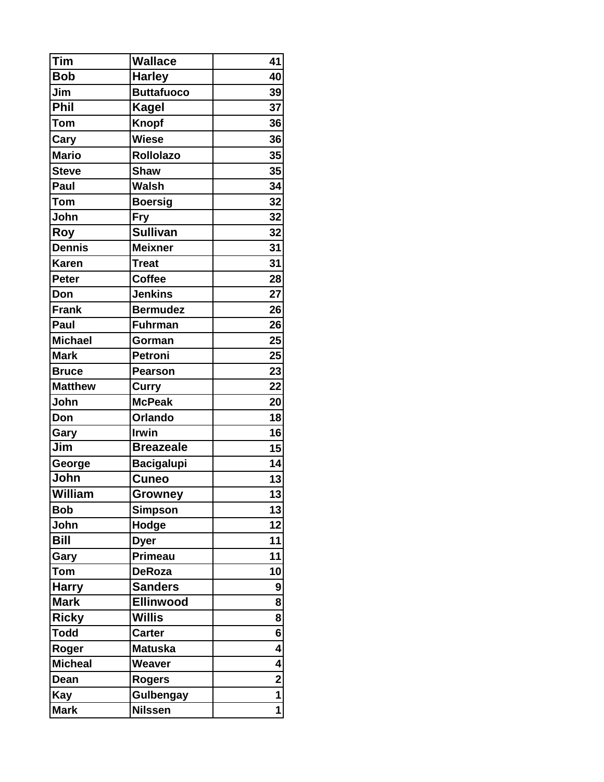| Tim               | Wallace           | 41                      |
|-------------------|-------------------|-------------------------|
| <b>Bob</b>        | <b>Harley</b>     | 40                      |
| Jim               | <b>Buttafuoco</b> | 39                      |
| <b>Phil</b>       | <b>Kagel</b>      | 37                      |
| <b>Tom</b>        | <b>Knopf</b>      | 36                      |
| Cary              | <b>Wiese</b>      | 36                      |
| <b>Mario</b>      | <b>Rollolazo</b>  | 35                      |
| <b>Steve</b>      | <b>Shaw</b>       | 35                      |
| Paul              | <b>Walsh</b>      | 34                      |
| <b>Tom</b>        | <b>Boersig</b>    | 32                      |
| John              | <b>Fry</b>        | 32                      |
| Roy               | <b>Sullivan</b>   | 32                      |
| <b>Dennis</b>     | <b>Meixner</b>    | 31                      |
| <b>Karen</b>      | <b>Treat</b>      | 31                      |
| <b>Peter</b>      | <b>Coffee</b>     | 28                      |
| Don               | <b>Jenkins</b>    | 27                      |
| <b>Frank</b>      | <b>Bermudez</b>   | 26                      |
| Paul              | <b>Fuhrman</b>    | 26                      |
| <b>Michael</b>    | Gorman            | 25                      |
| <b>Mark</b>       | Petroni           | 25                      |
| <b>Bruce</b>      | <b>Pearson</b>    | 23                      |
| <b>Matthew</b>    | <b>Curry</b>      | 22                      |
| John              | <b>McPeak</b>     | 20                      |
| Don               | Orlando           | 18                      |
| Gary              | Irwin             | 16                      |
| $\overline{J}$ im | <b>Breazeale</b>  | 15                      |
| George            | <b>Bacigalupi</b> | 14                      |
| John              | <b>Cuneo</b>      | 13                      |
| William           | Growney           | 13                      |
| <b>Bob</b>        | <b>Simpson</b>    | 13                      |
| John              | Hodge             | 12                      |
| <b>Bill</b>       | <b>Dyer</b>       | 11                      |
| Gary              | Primeau           | 11                      |
| <b>Tom</b>        | <b>DeRoza</b>     | 10                      |
| <b>Harry</b>      | <b>Sanders</b>    | 9                       |
| <b>Mark</b>       | Ellinwood         | 8                       |
| <b>Ricky</b>      | <b>Willis</b>     | 8                       |
| <b>Todd</b>       | <b>Carter</b>     | 6                       |
| Roger             | <b>Matuska</b>    | 4                       |
| <b>Micheal</b>    | Weaver            | 4                       |
| Dean              | <b>Rogers</b>     | $\overline{\mathbf{2}}$ |
| <b>Kay</b>        | Gulbengay         | 1                       |
| <b>Mark</b>       | <b>Nilssen</b>    | 1                       |